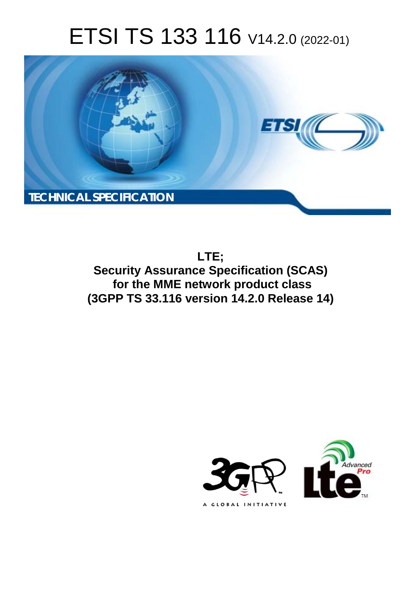# ETSI TS 133 116 V14.2.0 (2022-01)



**LTE; Security Assurance Specification (SCAS) for the MME network product class (3GPP TS 33.116 version 14.2.0 Release 14)** 

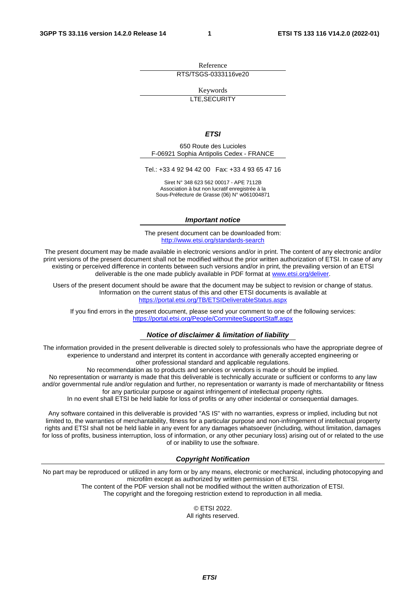Reference RTS/TSGS-0333116ve20

Keywords

LTE,SECURITY

#### *ETSI*

650 Route des Lucioles F-06921 Sophia Antipolis Cedex - FRANCE

Tel.: +33 4 92 94 42 00 Fax: +33 4 93 65 47 16

Siret N° 348 623 562 00017 - APE 7112B Association à but non lucratif enregistrée à la Sous-Préfecture de Grasse (06) N° w061004871

#### *Important notice*

The present document can be downloaded from: <http://www.etsi.org/standards-search>

The present document may be made available in electronic versions and/or in print. The content of any electronic and/or print versions of the present document shall not be modified without the prior written authorization of ETSI. In case of any existing or perceived difference in contents between such versions and/or in print, the prevailing version of an ETSI deliverable is the one made publicly available in PDF format at [www.etsi.org/deliver](http://www.etsi.org/deliver).

Users of the present document should be aware that the document may be subject to revision or change of status. Information on the current status of this and other ETSI documents is available at <https://portal.etsi.org/TB/ETSIDeliverableStatus.aspx>

If you find errors in the present document, please send your comment to one of the following services: <https://portal.etsi.org/People/CommiteeSupportStaff.aspx>

#### *Notice of disclaimer & limitation of liability*

The information provided in the present deliverable is directed solely to professionals who have the appropriate degree of experience to understand and interpret its content in accordance with generally accepted engineering or other professional standard and applicable regulations.

No recommendation as to products and services or vendors is made or should be implied.

No representation or warranty is made that this deliverable is technically accurate or sufficient or conforms to any law and/or governmental rule and/or regulation and further, no representation or warranty is made of merchantability or fitness for any particular purpose or against infringement of intellectual property rights.

In no event shall ETSI be held liable for loss of profits or any other incidental or consequential damages.

Any software contained in this deliverable is provided "AS IS" with no warranties, express or implied, including but not limited to, the warranties of merchantability, fitness for a particular purpose and non-infringement of intellectual property rights and ETSI shall not be held liable in any event for any damages whatsoever (including, without limitation, damages for loss of profits, business interruption, loss of information, or any other pecuniary loss) arising out of or related to the use of or inability to use the software.

#### *Copyright Notification*

No part may be reproduced or utilized in any form or by any means, electronic or mechanical, including photocopying and microfilm except as authorized by written permission of ETSI. The content of the PDF version shall not be modified without the written authorization of ETSI.

The copyright and the foregoing restriction extend to reproduction in all media.

© ETSI 2022. All rights reserved.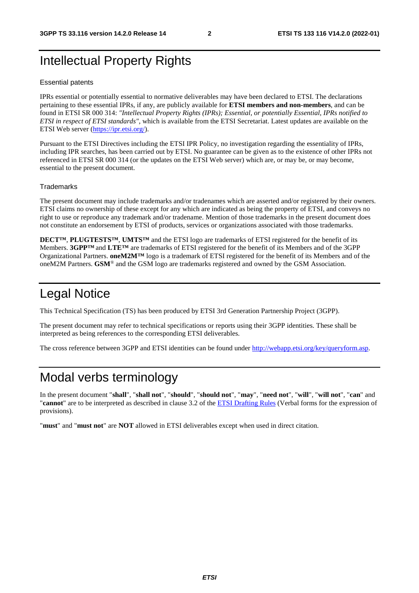# Intellectual Property Rights

#### Essential patents

IPRs essential or potentially essential to normative deliverables may have been declared to ETSI. The declarations pertaining to these essential IPRs, if any, are publicly available for **ETSI members and non-members**, and can be found in ETSI SR 000 314: *"Intellectual Property Rights (IPRs); Essential, or potentially Essential, IPRs notified to ETSI in respect of ETSI standards"*, which is available from the ETSI Secretariat. Latest updates are available on the ETSI Web server ([https://ipr.etsi.org/\)](https://ipr.etsi.org/).

Pursuant to the ETSI Directives including the ETSI IPR Policy, no investigation regarding the essentiality of IPRs, including IPR searches, has been carried out by ETSI. No guarantee can be given as to the existence of other IPRs not referenced in ETSI SR 000 314 (or the updates on the ETSI Web server) which are, or may be, or may become, essential to the present document.

#### **Trademarks**

The present document may include trademarks and/or tradenames which are asserted and/or registered by their owners. ETSI claims no ownership of these except for any which are indicated as being the property of ETSI, and conveys no right to use or reproduce any trademark and/or tradename. Mention of those trademarks in the present document does not constitute an endorsement by ETSI of products, services or organizations associated with those trademarks.

**DECT™**, **PLUGTESTS™**, **UMTS™** and the ETSI logo are trademarks of ETSI registered for the benefit of its Members. **3GPP™** and **LTE™** are trademarks of ETSI registered for the benefit of its Members and of the 3GPP Organizational Partners. **oneM2M™** logo is a trademark of ETSI registered for the benefit of its Members and of the oneM2M Partners. **GSM**® and the GSM logo are trademarks registered and owned by the GSM Association.

# Legal Notice

This Technical Specification (TS) has been produced by ETSI 3rd Generation Partnership Project (3GPP).

The present document may refer to technical specifications or reports using their 3GPP identities. These shall be interpreted as being references to the corresponding ETSI deliverables.

The cross reference between 3GPP and ETSI identities can be found under<http://webapp.etsi.org/key/queryform.asp>.

# Modal verbs terminology

In the present document "**shall**", "**shall not**", "**should**", "**should not**", "**may**", "**need not**", "**will**", "**will not**", "**can**" and "**cannot**" are to be interpreted as described in clause 3.2 of the [ETSI Drafting Rules](https://portal.etsi.org/Services/editHelp!/Howtostart/ETSIDraftingRules.aspx) (Verbal forms for the expression of provisions).

"**must**" and "**must not**" are **NOT** allowed in ETSI deliverables except when used in direct citation.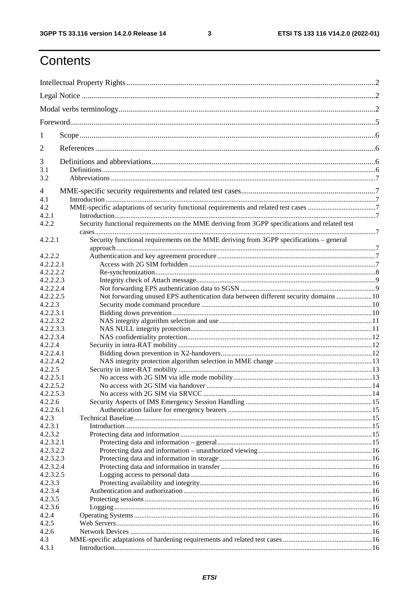$\mathbf{3}$ 

# Contents

| 1                      |                                                                                                |  |  |  |  |
|------------------------|------------------------------------------------------------------------------------------------|--|--|--|--|
| 2                      |                                                                                                |  |  |  |  |
| 3                      |                                                                                                |  |  |  |  |
| 3.1                    |                                                                                                |  |  |  |  |
| 3.2                    |                                                                                                |  |  |  |  |
| 4                      |                                                                                                |  |  |  |  |
| 4.1                    |                                                                                                |  |  |  |  |
| 4.2                    |                                                                                                |  |  |  |  |
| 4.2.1                  |                                                                                                |  |  |  |  |
| 4.2.2                  | Security functional requirements on the MME deriving from 3GPP specifications and related test |  |  |  |  |
| 4.2.2.1                | Security functional requirements on the MME deriving from 3GPP specifications - general        |  |  |  |  |
|                        |                                                                                                |  |  |  |  |
| 4.2.2.2                |                                                                                                |  |  |  |  |
| 4.2.2.2.1              |                                                                                                |  |  |  |  |
| 4.2.2.2.2<br>4.2.2.2.3 |                                                                                                |  |  |  |  |
| 4.2.2.2.4              |                                                                                                |  |  |  |  |
| 4.2.2.2.5              | Not forwarding unused EPS authentication data between different security domains  10           |  |  |  |  |
| 4.2.2.3                |                                                                                                |  |  |  |  |
| 4.2.2.3.1              |                                                                                                |  |  |  |  |
| 4.2.2.3.2              |                                                                                                |  |  |  |  |
| 4.2.2.3.3              |                                                                                                |  |  |  |  |
| 4.2.2.3.4              |                                                                                                |  |  |  |  |
| 4.2.2.4                |                                                                                                |  |  |  |  |
| 4.2.2.4.1              |                                                                                                |  |  |  |  |
| 4.2.2.4.2              |                                                                                                |  |  |  |  |
| 4.2.2.5                |                                                                                                |  |  |  |  |
| 4.2.2.5.1              |                                                                                                |  |  |  |  |
| 4.2.2.5.2              |                                                                                                |  |  |  |  |
| 4.2.2.5.3              |                                                                                                |  |  |  |  |
| 4.2.2.6                |                                                                                                |  |  |  |  |
| 4.2.2.6.1              |                                                                                                |  |  |  |  |
| 4.2.3                  |                                                                                                |  |  |  |  |
| 4.2.3.1                |                                                                                                |  |  |  |  |
| 4.2.3.2                |                                                                                                |  |  |  |  |
| 4.2.3.2.1              |                                                                                                |  |  |  |  |
| 4.2.3.2.2              |                                                                                                |  |  |  |  |
| 4.2.3.2.3              |                                                                                                |  |  |  |  |
| 4.2.3.2.4              |                                                                                                |  |  |  |  |
| 4.2.3.2.5              |                                                                                                |  |  |  |  |
| 4.2.3.3                |                                                                                                |  |  |  |  |
| 4.2.3.4                |                                                                                                |  |  |  |  |
| 4.2.3.5                |                                                                                                |  |  |  |  |
| 4.2.3.6                |                                                                                                |  |  |  |  |
| 4.2.4                  |                                                                                                |  |  |  |  |
| 4.2.5                  |                                                                                                |  |  |  |  |
| 4.2.6                  |                                                                                                |  |  |  |  |
| 4.3                    |                                                                                                |  |  |  |  |
| 4.3.1                  |                                                                                                |  |  |  |  |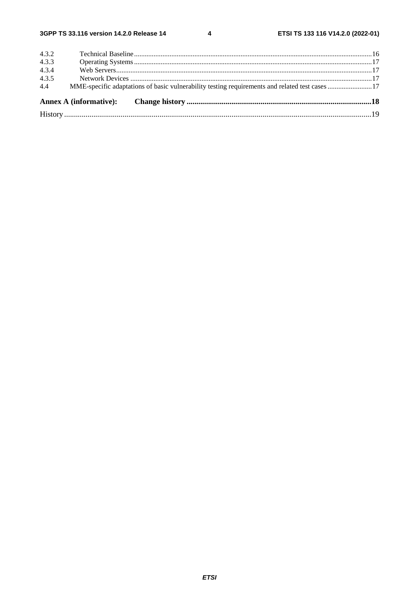$\overline{\mathbf{4}}$ 

| 4.4   |  |  |  |  |  |  |
|-------|--|--|--|--|--|--|
| 4.3.5 |  |  |  |  |  |  |
| 4.3.4 |  |  |  |  |  |  |
| 4.3.3 |  |  |  |  |  |  |
| 4.3.2 |  |  |  |  |  |  |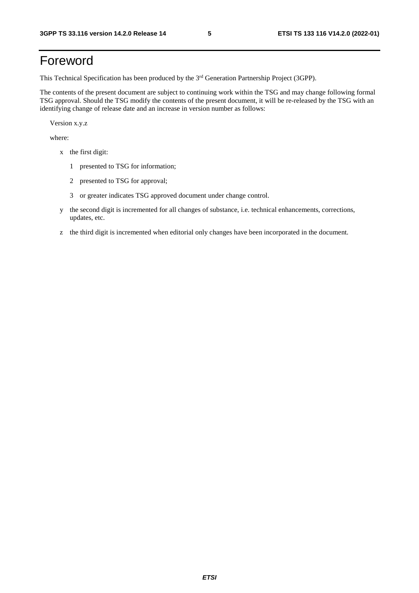# Foreword

This Technical Specification has been produced by the 3<sup>rd</sup> Generation Partnership Project (3GPP).

The contents of the present document are subject to continuing work within the TSG and may change following formal TSG approval. Should the TSG modify the contents of the present document, it will be re-released by the TSG with an identifying change of release date and an increase in version number as follows:

Version x.y.z

where:

- x the first digit:
	- 1 presented to TSG for information;
	- 2 presented to TSG for approval;
	- 3 or greater indicates TSG approved document under change control.
- y the second digit is incremented for all changes of substance, i.e. technical enhancements, corrections, updates, etc.
- z the third digit is incremented when editorial only changes have been incorporated in the document.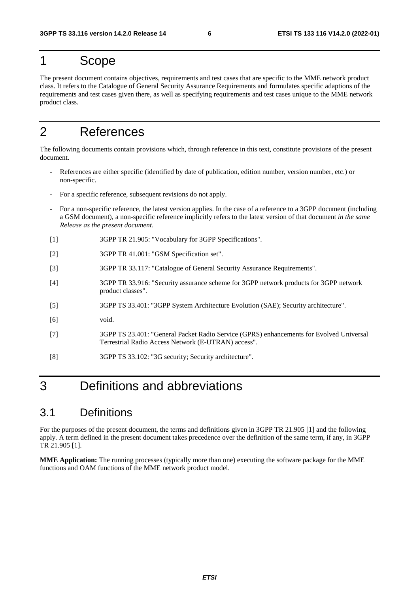# 1 Scope

The present document contains objectives, requirements and test cases that are specific to the MME network product class. It refers to the Catalogue of General Security Assurance Requirements and formulates specific adaptions of the requirements and test cases given there, as well as specifying requirements and test cases unique to the MME network product class.

# 2 References

The following documents contain provisions which, through reference in this text, constitute provisions of the present document.

- References are either specific (identified by date of publication, edition number, version number, etc.) or non-specific.
- For a specific reference, subsequent revisions do not apply.
- For a non-specific reference, the latest version applies. In the case of a reference to a 3GPP document (including a GSM document), a non-specific reference implicitly refers to the latest version of that document *in the same Release as the present document*.
- [1] 3GPP TR 21.905: "Vocabulary for 3GPP Specifications".
- [2] 3GPP TR 41.001: "GSM Specification set".
- [3] 3GPP TR 33.117: "Catalogue of General Security Assurance Requirements".
- [4] 3GPP TR 33.916: "Security assurance scheme for 3GPP network products for 3GPP network product classes".
- [5] 3GPP TS 33.401: "3GPP System Architecture Evolution (SAE); Security architecture".
- [6] void.
- [7] 3GPP TS 23.401: "General Packet Radio Service (GPRS) enhancements for Evolved Universal Terrestrial Radio Access Network (E-UTRAN) access".
- [8] 3GPP TS 33.102: "3G security; Security architecture".

# 3 Definitions and abbreviations

# 3.1 Definitions

For the purposes of the present document, the terms and definitions given in 3GPP TR 21.905 [1] and the following apply. A term defined in the present document takes precedence over the definition of the same term, if any, in 3GPP TR 21.905 [1].

**MME Application:** The running processes (typically more than one) executing the software package for the MME functions and OAM functions of the MME network product model.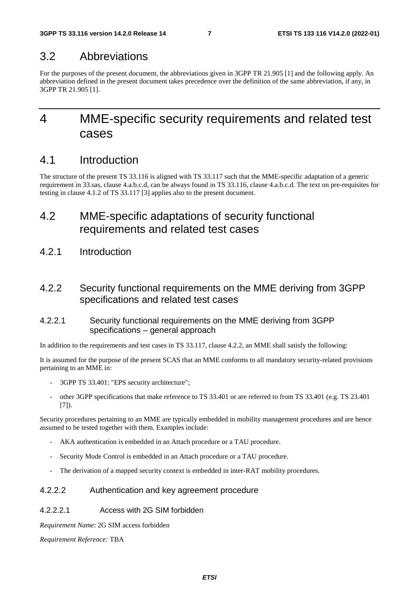# 3.2 Abbreviations

For the purposes of the present document, the abbreviations given in 3GPP TR 21.905 [1] and the following apply. An abbreviation defined in the present document takes precedence over the definition of the same abbreviation, if any, in 3GPP TR 21.905 [1].

# 4 MME-specific security requirements and related test cases

# 4.1 Introduction

The structure of the present TS 33.116 is aligned with TS 33.117 such that the MME-specific adaptation of a generic requirement in 33.sas, clause 4.a.b.c.d, can be always found in TS 33.116, clause 4.a.b.c.d. The text on pre-requisites for testing in clause 4.1.2 of TS 33.117 [3] applies also to the present document.

# 4.2 MME-specific adaptations of security functional requirements and related test cases

4.2.1 Introduction

# 4.2.2 Security functional requirements on the MME deriving from 3GPP specifications and related test cases

### 4.2.2.1 Security functional requirements on the MME deriving from 3GPP specifications – general approach

In addition to the requirements and test cases in TS 33.117, clause 4.2.2, an MME shall satisfy the following:

It is assumed for the purpose of the present SCAS that an MME conforms to all mandatory security-related provisions pertaining to an MME in:

- 3GPP TS 33.401: "EPS security architecture";
- other 3GPP specifications that make reference to TS 33.401 or are referred to from TS 33.401 (e.g. TS 23.401 [7]).

Security procedures pertaining to an MME are typically embedded in mobility management procedures and are hence assumed to be tested together with them. Examples include:

- AKA authentication is embedded in an Attach procedure or a TAU procedure.
- Security Mode Control is embedded in an Attach procedure or a TAU procedure.
- The derivation of a mapped security context is embedded in inter-RAT mobility procedures.

### 4.2.2.2 Authentication and key agreement procedure

### 4.2.2.2.1 Access with 2G SIM forbidden

*Requirement Name*: 2G SIM access forbidden

*Requirement Reference:* TBA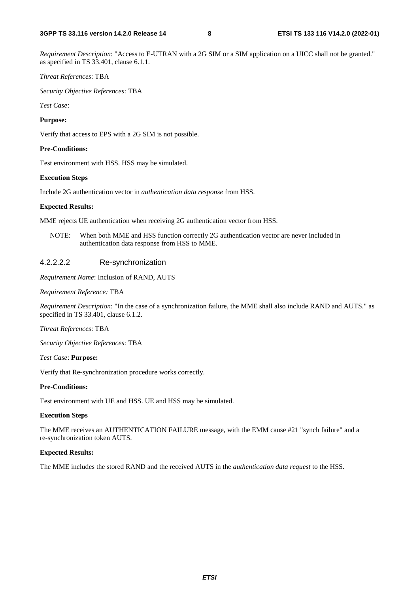*Requirement Description*: "Access to E-UTRAN with a 2G SIM or a SIM application on a UICC shall not be granted." as specified in TS 33.401, clause 6.1.1.

#### *Threat References*: TBA

*Security Objective References*: TBA

*Test Case*:

#### **Purpose:**

Verify that access to EPS with a 2G SIM is not possible.

#### **Pre-Conditions:**

Test environment with HSS. HSS may be simulated.

#### **Execution Steps**

Include 2G authentication vector in *authentication data response* from HSS.

#### **Expected Results:**

MME rejects UE authentication when receiving 2G authentication vector from HSS.

NOTE: When both MME and HSS function correctly 2G authentication vector are never included in authentication data response from HSS to MME.

#### 4.2.2.2.2 Re-synchronization

*Requirement Name*: Inclusion of RAND, AUTS

#### *Requirement Reference:* TBA

*Requirement Description*: "In the case of a synchronization failure, the MME shall also include RAND and AUTS." as specified in TS 33.401, clause 6.1.2.

*Threat References*: TBA

*Security Objective References*: TBA

*Test Case*: **Purpose:** 

Verify that Re-synchronization procedure works correctly.

#### **Pre-Conditions:**

Test environment with UE and HSS. UE and HSS may be simulated.

#### **Execution Steps**

The MME receives an AUTHENTICATION FAILURE message, with the EMM cause #21 "synch failure" and a re-synchronization token AUTS.

#### **Expected Results:**

The MME includes the stored RAND and the received AUTS in the *authentication data request* to the HSS.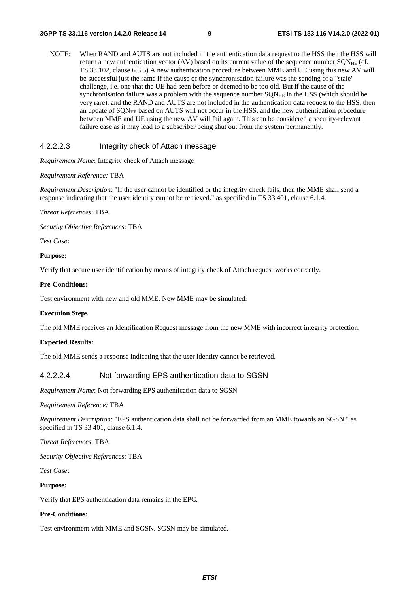NOTE: When RAND and AUTS are not included in the authentication data request to the HSS then the HSS will return a new authentication vector (AV) based on its current value of the sequence number  $\text{SQN}_{\text{HE}}$  (cf. TS 33.102, clause 6.3.5) A new authentication procedure between MME and UE using this new AV will be successful just the same if the cause of the synchronisation failure was the sending of a "stale" challenge, i.e. one that the UE had seen before or deemed to be too old. But if the cause of the synchronisation failure was a problem with the sequence number  $SON<sub>HE</sub>$  in the HSS (which should be very rare), and the RAND and AUTS are not included in the authentication data request to the HSS, then an update of SQN<sub>HE</sub> based on AUTS will not occur in the HSS, and the new authentication procedure between MME and UE using the new AV will fail again. This can be considered a security-relevant failure case as it may lead to a subscriber being shut out from the system permanently.

#### 4.2.2.2.3 Integrity check of Attach message

*Requirement Name*: Integrity check of Attach message

#### *Requirement Reference:* TBA

*Requirement Description*: "If the user cannot be identified or the integrity check fails, then the MME shall send a response indicating that the user identity cannot be retrieved." as specified in TS 33.401, clause 6.1.4.

*Threat References*: TBA

*Security Objective References*: TBA

*Test Case*:

#### **Purpose:**

Verify that secure user identification by means of integrity check of Attach request works correctly.

#### **Pre-Conditions:**

Test environment with new and old MME. New MME may be simulated.

#### **Execution Steps**

The old MME receives an Identification Request message from the new MME with incorrect integrity protection.

#### **Expected Results:**

The old MME sends a response indicating that the user identity cannot be retrieved.

#### 4.2.2.2.4 Not forwarding EPS authentication data to SGSN

*Requirement Name*: Not forwarding EPS authentication data to SGSN

*Requirement Reference:* TBA

*Requirement Description*: "EPS authentication data shall not be forwarded from an MME towards an SGSN." as specified in TS 33.401, clause 6.1.4.

*Threat References*: TBA

*Security Objective References*: TBA

*Test Case*:

#### **Purpose:**

Verify that EPS authentication data remains in the EPC.

#### **Pre-Conditions:**

Test environment with MME and SGSN. SGSN may be simulated.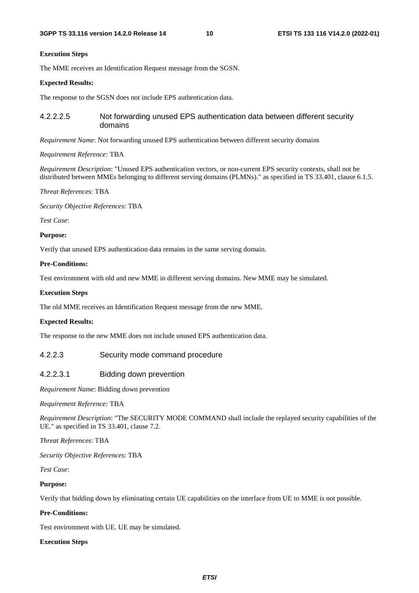#### **Execution Steps**

The MME receives an Identification Request message from the SGSN.

#### **Expected Results:**

The response to the SGSN does not include EPS authentication data.

#### 4.2.2.2.5 Not forwarding unused EPS authentication data between different security domains

*Requirement Name*: Not forwarding unused EPS authentication between different security domains

#### *Requirement Reference:* TBA

*Requirement Description*: "Unused EPS authentication vectors, or non-current EPS security contexts, shall not be distributed between MMEs belonging to different serving domains (PLMNs)." as specified in TS 33.401, clause 6.1.5.

*Threat References*: TBA

*Security Objective References*: TBA

*Test Case*:

#### **Purpose:**

Verify that unused EPS authentication data remains in the same serving domain.

#### **Pre-Conditions:**

Test environment with old and new MME in different serving domains. New MME may be simulated.

#### **Execution Steps**

The old MME receives an Identification Request message from the new MME.

#### **Expected Results:**

The response to the new MME does not include unused EPS authentication data.

#### 4.2.2.3 Security mode command procedure

#### 4.2.2.3.1 Bidding down prevention

*Requirement Name*: Bidding down prevention

*Requirement Reference:* TBA

*Requirement Description*: "The SECURITY MODE COMMAND shall include the replayed security capabilities of the UE." as specified in TS 33.401, clause 7.2.

#### *Threat References*: TBA

*Security Objective References*: TBA

*Test Case*:

#### **Purpose:**

Verify that bidding down by eliminating certain UE capabilities on the interface from UE to MME is not possible.

#### **Pre-Conditions:**

Test environment with UE. UE may be simulated.

#### **Execution Steps**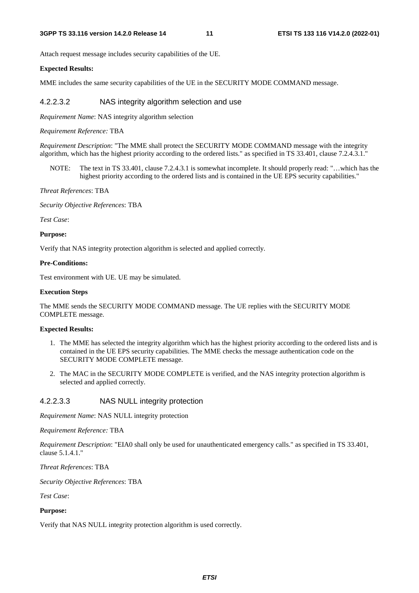Attach request message includes security capabilities of the UE.

#### **Expected Results:**

MME includes the same security capabilities of the UE in the SECURITY MODE COMMAND message.

#### 4.2.2.3.2 NAS integrity algorithm selection and use

*Requirement Name*: NAS integrity algorithm selection

#### *Requirement Reference:* TBA

*Requirement Description*: "The MME shall protect the SECURITY MODE COMMAND message with the integrity algorithm, which has the highest priority according to the ordered lists." as specified in TS 33.401, clause 7.2.4.3.1."

NOTE: The text in TS 33.401, clause 7.2.4.3.1 is somewhat incomplete. It should properly read: "…which has the highest priority according to the ordered lists and is contained in the UE EPS security capabilities."

*Threat References*: TBA

*Security Objective References*: TBA

*Test Case*:

#### **Purpose:**

Verify that NAS integrity protection algorithm is selected and applied correctly.

#### **Pre-Conditions:**

Test environment with UE. UE may be simulated.

#### **Execution Steps**

The MME sends the SECURITY MODE COMMAND message. The UE replies with the SECURITY MODE COMPLETE message.

#### **Expected Results:**

- 1. The MME has selected the integrity algorithm which has the highest priority according to the ordered lists and is contained in the UE EPS security capabilities. The MME checks the message authentication code on the SECURITY MODE COMPLETE message.
- 2. The MAC in the SECURITY MODE COMPLETE is verified, and the NAS integrity protection algorithm is selected and applied correctly.

#### 4.2.2.3.3 NAS NULL integrity protection

*Requirement Name*: NAS NULL integrity protection

#### *Requirement Reference:* TBA

*Requirement Description*: "EIA0 shall only be used for unauthenticated emergency calls." as specified in TS 33.401, clause 5.1.4.1."

*Threat References*: TBA

*Security Objective References*: TBA

*Test Case*:

#### **Purpose:**

Verify that NAS NULL integrity protection algorithm is used correctly.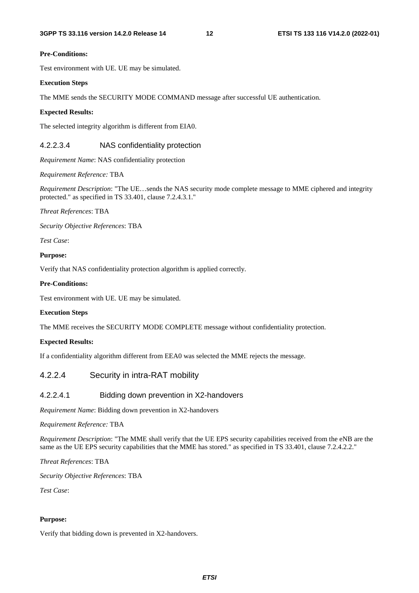#### **Pre-Conditions:**

Test environment with UE. UE may be simulated.

#### **Execution Steps**

The MME sends the SECURITY MODE COMMAND message after successful UE authentication.

#### **Expected Results:**

The selected integrity algorithm is different from EIA0.

### 4.2.2.3.4 NAS confidentiality protection

*Requirement Name*: NAS confidentiality protection

*Requirement Reference:* TBA

*Requirement Description*: "The UE…sends the NAS security mode complete message to MME ciphered and integrity protected." as specified in TS 33.401, clause 7.2.4.3.1."

#### *Threat References*: TBA

*Security Objective References*: TBA

*Test Case*:

#### **Purpose:**

Verify that NAS confidentiality protection algorithm is applied correctly.

#### **Pre-Conditions:**

Test environment with UE. UE may be simulated.

#### **Execution Steps**

The MME receives the SECURITY MODE COMPLETE message without confidentiality protection.

#### **Expected Results:**

If a confidentiality algorithm different from EEA0 was selected the MME rejects the message.

### 4.2.2.4 Security in intra-RAT mobility

#### 4.2.2.4.1 Bidding down prevention in X2-handovers

*Requirement Name*: Bidding down prevention in X2-handovers

*Requirement Reference:* TBA

*Requirement Description*: "The MME shall verify that the UE EPS security capabilities received from the eNB are the same as the UE EPS security capabilities that the MME has stored." as specified in TS 33.401, clause 7.2.4.2.2."

*Threat References*: TBA

*Security Objective References*: TBA

*Test Case*:

#### **Purpose:**

Verify that bidding down is prevented in X2-handovers.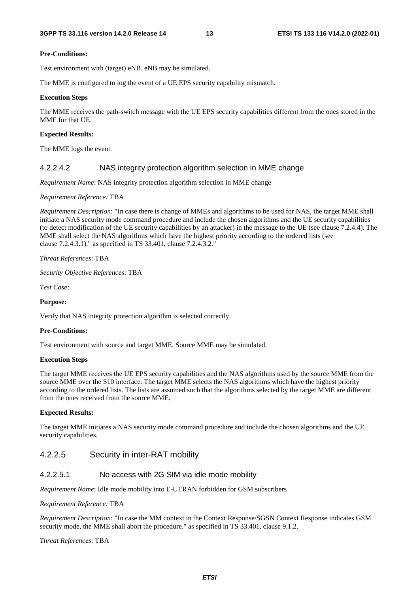#### **Pre-Conditions:**

Test environment with (target) eNB. eNB may be simulated.

The MME is configured to log the event of a UE EPS security capability mismatch.

#### **Execution Steps**

The MME receives the path-switch message with the UE EPS security capabilities different from the ones stored in the MME for that UE.

#### **Expected Results:**

The MME logs the event.

#### 4.2.2.4.2 NAS integrity protection algorithm selection in MME change

*Requirement Name*: NAS integrity protection algorithm selection in MME change

*Requirement Reference:* TBA

*Requirement Description*: "In case there is change of MMEs and algorithms to be used for NAS, the target MME shall initiate a NAS security mode command procedure and include the chosen algorithms and the UE security capabilities (to detect modification of the UE security capabilities by an attacker) in the message to the UE (see clause 7.2.4.4). The MME shall select the NAS algorithms which have the highest priority according to the ordered lists (see clause 7.2.4.3.1)." as specified in TS 33.401, clause 7.2.4.3.2."

*Threat References*: TBA

*Security Objective References*: TBA

*Test Case*:

#### **Purpose:**

Verify that NAS integrity protection algorithm is selected correctly.

#### **Pre-Conditions:**

Test environment with source and target MME. Source MME may be simulated.

#### **Execution Steps**

The target MME receives the UE EPS security capabilities and the NAS algorithms used by the source MME from the source MME over the S10 interface. The target MME selects the NAS algorithms which have the highest priority according to the ordered lists. The lists are assumed such that the algorithms selected by the target MME are different from the ones received from the source MME.

#### **Expected Results:**

The target MME initiates a NAS security mode command procedure and include the chosen algorithms and the UE security capabilities.

#### 4.2.2.5 Security in inter-RAT mobility

#### 4.2.2.5.1 No access with 2G SIM via idle mode mobility

*Requirement Name*: Idle mode mobility into E-UTRAN forbidden for GSM subscribers

#### *Requirement Reference:* TBA

*Requirement Description*: "In case the MM context in the Context Response/SGSN Context Response indicates GSM security mode, the MME shall abort the procedure." as specified in TS 33.401, clause 9.1.2.

#### *Threat References*: TBA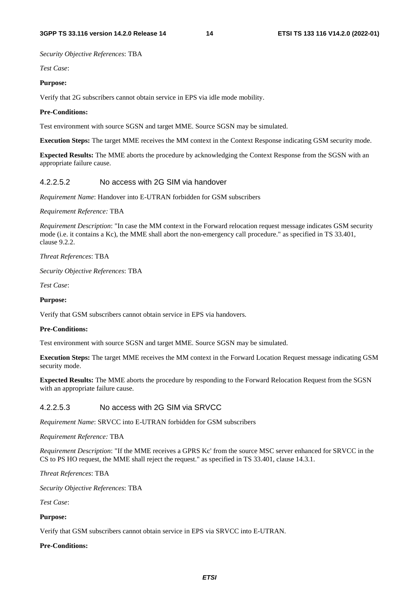*Security Objective References*: TBA

*Test Case*:

#### **Purpose:**

Verify that 2G subscribers cannot obtain service in EPS via idle mode mobility.

#### **Pre-Conditions:**

Test environment with source SGSN and target MME. Source SGSN may be simulated.

**Execution Steps:** The target MME receives the MM context in the Context Response indicating GSM security mode.

**Expected Results:** The MME aborts the procedure by acknowledging the Context Response from the SGSN with an appropriate failure cause.

#### 4.2.2.5.2 No access with 2G SIM via handover

*Requirement Name*: Handover into E-UTRAN forbidden for GSM subscribers

*Requirement Reference:* TBA

*Requirement Description*: "In case the MM context in the Forward relocation request message indicates GSM security mode (i.e. it contains a Kc), the MME shall abort the non-emergency call procedure." as specified in TS 33.401, clause 9.2.2.

*Threat References*: TBA

*Security Objective References*: TBA

*Test Case*:

#### **Purpose:**

Verify that GSM subscribers cannot obtain service in EPS via handovers.

#### **Pre-Conditions:**

Test environment with source SGSN and target MME. Source SGSN may be simulated.

**Execution Steps:** The target MME receives the MM context in the Forward Location Request message indicating GSM security mode.

**Expected Results:** The MME aborts the procedure by responding to the Forward Relocation Request from the SGSN with an appropriate failure cause.

#### 4.2.2.5.3 No access with 2G SIM via SRVCC

*Requirement Name*: SRVCC into E-UTRAN forbidden for GSM subscribers

*Requirement Reference:* TBA

*Requirement Description*: "If the MME receives a GPRS Kc' from the source MSC server enhanced for SRVCC in the CS to PS HO request, the MME shall reject the request." as specified in TS 33.401, clause 14.3.1.

*Threat References*: TBA

*Security Objective References*: TBA

*Test Case*:

#### **Purpose:**

Verify that GSM subscribers cannot obtain service in EPS via SRVCC into E-UTRAN.

#### **Pre-Conditions:**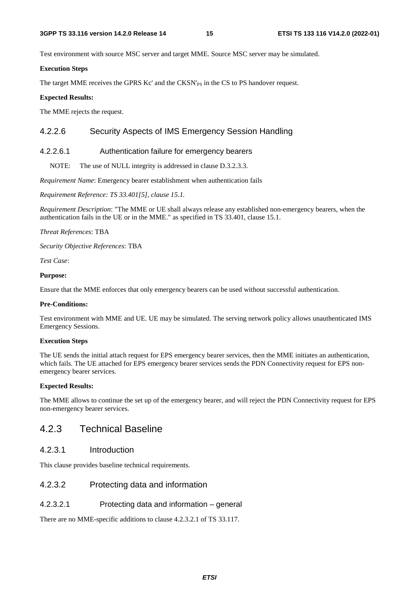Test environment with source MSC server and target MME. Source MSC server may be simulated.

#### **Execution Steps**

The target MME receives the GPRS Kc' and the CKSN'<sub>PS</sub> in the CS to PS handover request.

#### **Expected Results:**

The MME rejects the request.

### 4.2.2.6 Security Aspects of IMS Emergency Session Handling

### 4.2.2.6.1 Authentication failure for emergency bearers

NOTE: The use of NULL integrity is addressed in clause D.3.2.3.3.

*Requirement Name*: Emergency bearer establishment when authentication fails

*Requirement Reference: TS 33.401[5], clause 15.1.*

*Requirement Description*: "The MME or UE shall always release any established non-emergency bearers, when the authentication fails in the UE or in the MME." as specified in TS 33.401, clause 15.1.

*Threat References*: TBA

*Security Objective References*: TBA

*Test Case*:

#### **Purpose:**

Ensure that the MME enforces that only emergency bearers can be used without successful authentication.

#### **Pre-Conditions:**

Test environment with MME and UE. UE may be simulated. The serving network policy allows unauthenticated IMS Emergency Sessions.

#### **Execution Steps**

The UE sends the initial attach request for EPS emergency bearer services, then the MME initiates an authentication, which fails. The UE attached for EPS emergency bearer services sends the PDN Connectivity request for EPS nonemergency bearer services.

#### **Expected Results:**

The MME allows to continue the set up of the emergency bearer, and will reject the PDN Connectivity request for EPS non-emergency bearer services.

# 4.2.3 Technical Baseline

### 4.2.3.1 Introduction

This clause provides baseline technical requirements.

#### 4.2.3.2 Protecting data and information

#### 4.2.3.2.1 Protecting data and information – general

There are no MME-specific additions to clause 4.2.3.2.1 of TS 33.117.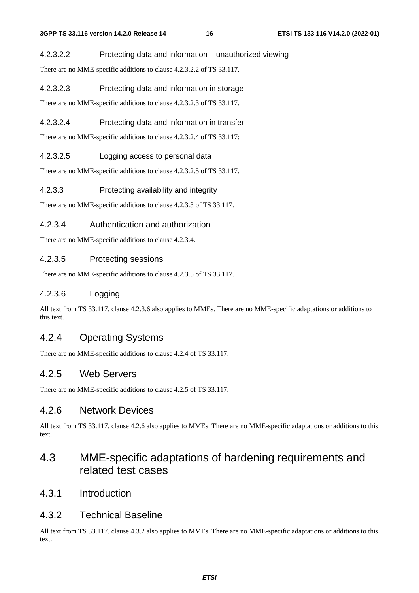#### 4.2.3.2.2 Protecting data and information – unauthorized viewing

There are no MME-specific additions to clause 4.2.3.2.2 of TS 33.117.

#### 4.2.3.2.3 Protecting data and information in storage

There are no MME-specific additions to clause 4.2.3.2.3 of TS 33.117.

### 4.2.3.2.4 Protecting data and information in transfer

There are no MME-specific additions to clause 4.2.3.2.4 of TS 33.117:

#### 4.2.3.2.5 Logging access to personal data

There are no MME-specific additions to clause 4.2.3.2.5 of TS 33.117.

#### 4.2.3.3 Protecting availability and integrity

There are no MME-specific additions to clause 4.2.3.3 of TS 33.117.

#### 4.2.3.4 Authentication and authorization

There are no MME-specific additions to clause 4.2.3.4.

### 4.2.3.5 Protecting sessions

There are no MME-specific additions to clause 4.2.3.5 of TS 33.117.

### 4.2.3.6 Logging

All text from TS 33.117, clause 4.2.3.6 also applies to MMEs. There are no MME-specific adaptations or additions to this text.

# 4.2.4 Operating Systems

There are no MME-specific additions to clause 4.2.4 of TS 33.117.

### 4.2.5 Web Servers

There are no MME-specific additions to clause 4.2.5 of TS 33.117.

### 4.2.6 Network Devices

All text from TS 33.117, clause 4.2.6 also applies to MMEs. There are no MME-specific adaptations or additions to this text.

# 4.3 MME-specific adaptations of hardening requirements and related test cases

4.3.1 Introduction

### 4.3.2 Technical Baseline

All text from TS 33.117, clause 4.3.2 also applies to MMEs. There are no MME-specific adaptations or additions to this text.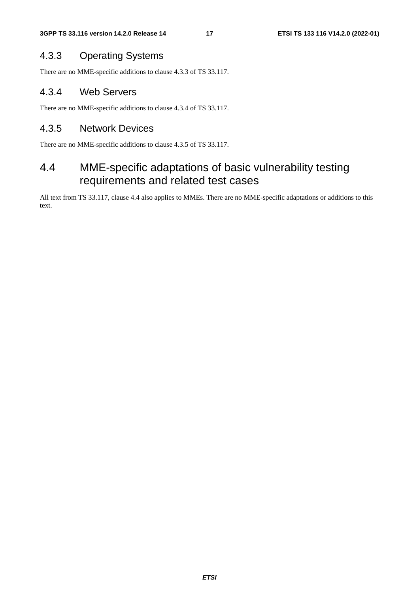# 4.3.3 Operating Systems

There are no MME-specific additions to clause 4.3.3 of TS 33.117.

## 4.3.4 Web Servers

There are no MME-specific additions to clause 4.3.4 of TS 33.117.

## 4.3.5 Network Devices

There are no MME-specific additions to clause 4.3.5 of TS 33.117.

# 4.4 MME-specific adaptations of basic vulnerability testing requirements and related test cases

All text from TS 33.117, clause 4.4 also applies to MMEs. There are no MME-specific adaptations or additions to this text.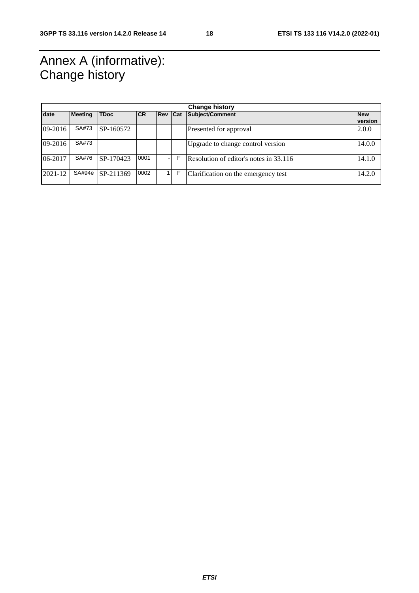# Annex A (informative): Change history

| <b>Change history</b> |                |             |           |            |     |                                        |                       |
|-----------------------|----------------|-------------|-----------|------------|-----|----------------------------------------|-----------------------|
| date                  | <b>Meeting</b> | <b>TDoc</b> | <b>CR</b> | <b>Rev</b> | Cat | Subject/Comment                        | <b>New</b><br>version |
| 09-2016               | SA#73          | SP-160572   |           |            |     | Presented for approval                 | 2.0.0                 |
| 09-2016               | SA#73          |             |           |            |     | Upgrade to change control version      | 14.0.0                |
| 06-2017               | SA#76          | SP-170423   | 0001      |            | F   | Resolution of editor's notes in 33.116 | 14.1.0                |
| 2021-12               | SA#94e         | SP-211369   | 0002      |            | F   | Clarification on the emergency test    | 14.2.0                |